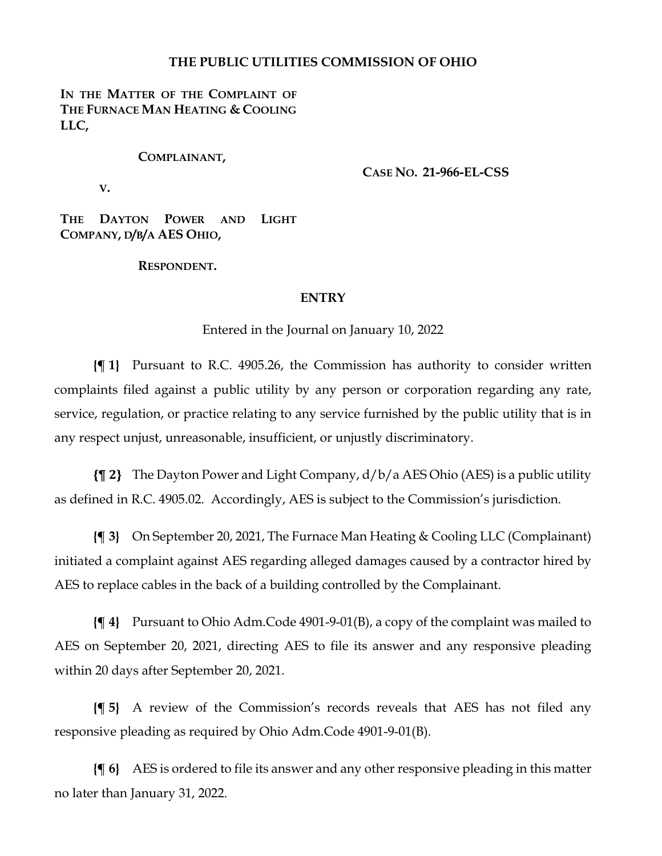### **THE PUBLIC UTILITIES COMMISSION OF OHIO**

### IN THE MATTER OF THE COMPLAINT OF **THE FURNACE MAN HEATING & COOLING LLC,**

#### **COMPLAINANT,**

**CASE NO. 21-966-EL-CSS**

**V.**

**THE DAYTON POWER AND LIGHT COMPANY, D/B/A AES OHIO,**

#### **RESPONDENT.**

#### **ENTRY**

Entered in the Journal on January 10, 2022

**{¶ 1}** Pursuant to R.C. 4905.26, the Commission has authority to consider written complaints filed against a public utility by any person or corporation regarding any rate, service, regulation, or practice relating to any service furnished by the public utility that is in any respect unjust, unreasonable, insufficient, or unjustly discriminatory.

**{¶ 2}** The Dayton Power and Light Company, d/b/a AES Ohio (AES) is a public utility as defined in R.C. 4905.02. Accordingly, AES is subject to the Commission's jurisdiction.

**{¶ 3}** On September 20, 2021, The Furnace Man Heating & Cooling LLC (Complainant) initiated a complaint against AES regarding alleged damages caused by a contractor hired by AES to replace cables in the back of a building controlled by the Complainant.

**{¶ 4}** Pursuant to Ohio Adm.Code 4901-9-01(B), a copy of the complaint was mailed to AES on September 20, 2021, directing AES to file its answer and any responsive pleading within 20 days after September 20, 2021.

**{¶ 5}** A review of the Commission's records reveals that AES has not filed any responsive pleading as required by Ohio Adm.Code 4901-9-01(B).

**{¶ 6}** AES is ordered to file its answer and any other responsive pleading in this matter no later than January 31, 2022.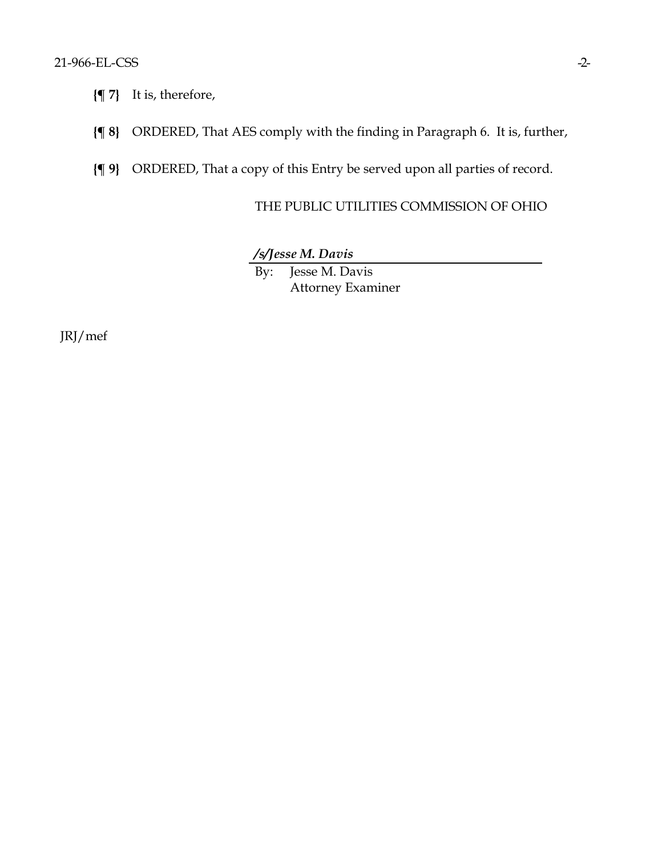- **{¶ 7}** It is, therefore,
- **{¶ 8}** ORDERED, That AES comply with the finding in Paragraph 6. It is, further,
- **{¶ 9}** ORDERED, That a copy of this Entry be served upon all parties of record.

# THE PUBLIC UTILITIES COMMISSION OF OHIO

*/s/Jesse M. Davis* By: Jesse M. Davis Attorney Examiner

JRJ/mef